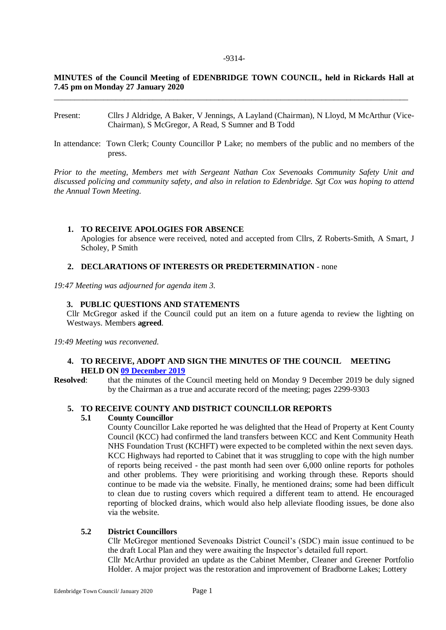#### -9314-

# **MINUTES of the Council Meeting of EDENBRIDGE TOWN COUNCIL, held in Rickards Hall at 7.45 pm on Monday 27 January 2020**

\_\_\_\_\_\_\_\_\_\_\_\_\_\_\_\_\_\_\_\_\_\_\_\_\_\_\_\_\_\_\_\_\_\_\_\_\_\_\_\_\_\_\_\_\_\_\_\_\_\_\_\_\_\_\_\_\_\_\_\_\_\_\_\_\_\_\_\_\_\_\_\_\_\_\_\_\_\_\_\_\_\_\_\_\_\_

- Present: Cllrs J Aldridge, A Baker, V Jennings, A Layland (Chairman), N Lloyd, M McArthur (Vice-Chairman), S McGregor, A Read, S Sumner and B Todd
- In attendance: Town Clerk; County Councillor P Lake; no members of the public and no members of the press.

*Prior to the meeting, Members met with Sergeant Nathan Cox Sevenoaks Community Safety Unit and discussed policing and community safety, and also in relation to Edenbridge. Sgt Cox was hoping to attend the Annual Town Meeting.*

## **1. TO RECEIVE APOLOGIES FOR ABSENCE**

Apologies for absence were received, noted and accepted from Cllrs, Z Roberts-Smith, A Smart, J Scholey, P Smith

### **2. DECLARATIONS OF INTERESTS OR PREDETERMINATION** - none

*19:47 Meeting was adjourned for agenda item 3.*

### **3. PUBLIC QUESTIONS AND STATEMENTS**

Cllr McGregor asked if the Council could put an item on a future agenda to review the lighting on Westways. Members **agreed**.

*19:49 Meeting was reconvened.*

### **4. TO RECEIVE, ADOPT AND SIGN THE MINUTES OF THE COUNCIL MEETING HELD ON [09 December 2019](https://www.edenbridgetowncouncil.gov.uk/mc-events/council-meeting-7/?mc_id=500)**

**Resolved**: that the minutes of the Council meeting held on Monday 9 December 2019 be duly signed by the Chairman as a true and accurate record of the meeting; pages 2299-9303

## **5. TO RECEIVE COUNTY AND DISTRICT COUNCILLOR REPORTS**

## **5.1 County Councillor**

County Councillor Lake reported he was delighted that the Head of Property at Kent County Council (KCC) had confirmed the land transfers between KCC and Kent Community Heath NHS Foundation Trust (KCHFT) were expected to be completed within the next seven days. KCC Highways had reported to Cabinet that it was struggling to cope with the high number of reports being received - the past month had seen over 6,000 online reports for potholes and other problems. They were prioritising and working through these. Reports should continue to be made via the website. Finally, he mentioned drains; some had been difficult to clean due to rusting covers which required a different team to attend. He encouraged reporting of blocked drains, which would also help alleviate flooding issues, be done also via the website.

## **5.2 District Councillors**

Cllr McGregor mentioned Sevenoaks District Council's (SDC) main issue continued to be the draft Local Plan and they were awaiting the Inspector's detailed full report. Cllr McArthur provided an update as the Cabinet Member, Cleaner and Greener Portfolio Holder. A major project was the restoration and improvement of Bradborne Lakes; Lottery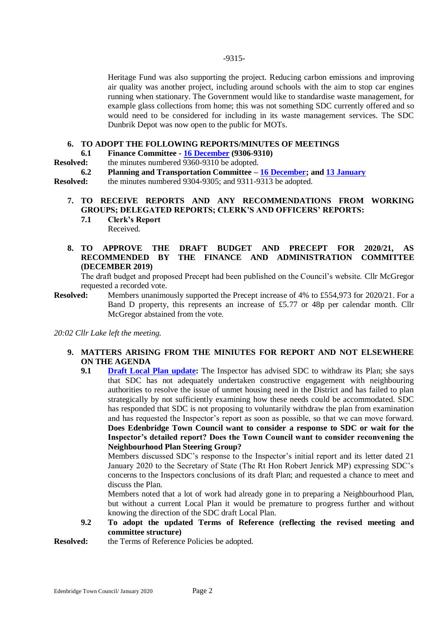### -9315-

Heritage Fund was also supporting the project. Reducing carbon emissions and improving air quality was another project, including around schools with the aim to stop car engines running when stationary. The Government would like to standardise waste management, for example glass collections from home; this was not something SDC currently offered and so would need to be considered for including in its waste management services. The SDC Dunbrik Depot was now open to the public for MOTs.

## **6. TO ADOPT THE FOLLOWING REPORTS/MINUTES OF MEETINGS**

**6.1 Finance Committee - [16 December](https://www.edenbridgetowncouncil.gov.uk/mc-events/finance-committee-149/?mc_id=503) (9306-9310)**<br>**Resolved:** the minutes numbered 9360-9310 be adopted.

the minutes numbered 9360-9310 be adopted.

**6.2 Planning and Transportation Committee – [16 December;](https://www.edenbridgetowncouncil.gov.uk/mc-events/planning-transportation-committee-61/?mc_id=502) and [13 January](https://www.edenbridgetowncouncil.gov.uk/mc-events/planning-committee-4/?mc_id=520)**

**Resolved:** the minutes numbered 9304-9305; and 9311-9313 be adopted.

# **7. TO RECEIVE REPORTS AND ANY RECOMMENDATIONS FROM WORKING GROUPS; DELEGATED REPORTS; CLERK'S AND OFFICERS' REPORTS:**

**7.1 Clerk's Report** Received.

## **8. TO APPROVE THE DRAFT BUDGET AND PRECEPT FOR 2020/21, AS RECOMMENDED BY THE FINANCE AND ADMINISTRATION COMMITTEE (DECEMBER 2019)**

The draft budget and proposed Precept had been published on the Council's website. Cllr McGregor requested a recorded vote.

**Resolved:** Members unanimously supported the Precept increase of 4% to £554,973 for 2020/21. For a Band D property, this represents an increase of £5.77 or 48p per calendar month. Cllr McGregor abstained from the vote.

*20:02 Cllr Lake left the meeting.*

## **9. MATTERS ARISING FROM THE MINIUTES FOR REPORT AND NOT ELSEWHERE ON THE AGENDA**

**9.1 [Draft Local Plan update:](https://www.sevenoaks.gov.uk/info/20069131/local_plan_examination/447/news_and_updates)** The Inspector has advised SDC to withdraw its Plan; she says that SDC has not adequately undertaken constructive engagement with neighbouring authorities to resolve the issue of unmet housing need in the District and has failed to plan strategically by not sufficiently examining how these needs could be accommodated. SDC has responded that SDC is not proposing to voluntarily withdraw the plan from examination and has requested the Inspector's report as soon as possible, so that we can move forward. **Does Edenbridge Town Council want to consider a response to SDC or wait for the Inspector's detailed report? Does the Town Council want to consider reconvening the Neighbourhood Plan Steering Group?**

Members discussed SDC's response to the Inspector's initial report and its letter dated 21 January 2020 to the Secretary of State (The Rt Hon Robert Jenrick MP) expressing SDC's concerns to the Inspectors conclusions of its draft Plan; and requested a chance to meet and discuss the Plan.

Members noted that a lot of work had already gone in to preparing a Neighbourhood Plan, but without a current Local Plan it would be premature to progress further and without knowing the direction of the SDC draft Local Plan.

**9.2 To adopt the updated Terms of Reference (reflecting the revised meeting and committee structure)**

**Resolved:** the Terms of Reference Policies be adopted.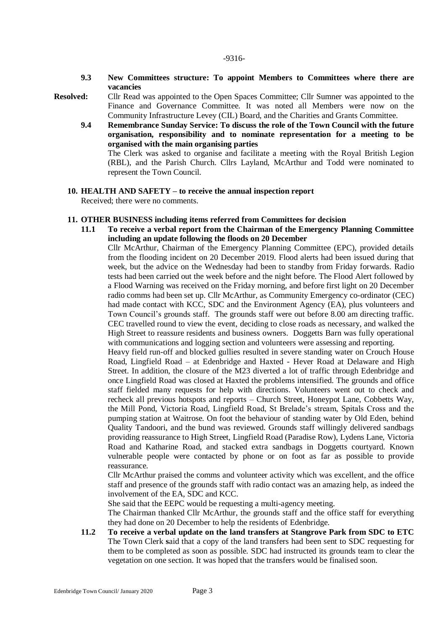- **9.3 New Committees structure: To appoint Members to Committees where there are vacancies**
- **Resolved:** Cllr Read was appointed to the Open Spaces Committee; Cllr Sumner was appointed to the Finance and Governance Committee. It was noted all Members were now on the Community Infrastructure Levey (CIL) Board, and the Charities and Grants Committee.
	- **9.4 Remembrance Sunday Service: To discuss the role of the Town Council with the future organisation, responsibility and to nominate representation for a meeting to be organised with the main organising parties**

The Clerk was asked to organise and facilitate a meeting with the Royal British Legion (RBL), and the Parish Church. Cllrs Layland, McArthur and Todd were nominated to represent the Town Council.

**10. HEALTH AND SAFETY – to receive the annual inspection report** Received; there were no comments.

### **11. OTHER BUSINESS including items referred from Committees for decision**

**11.1 To receive a verbal report from the Chairman of the Emergency Planning Committee including an update following the floods on 20 December** 

Cllr McArthur, Chairman of the Emergency Planning Committee (EPC), provided details from the flooding incident on 20 December 2019. Flood alerts had been issued during that week, but the advice on the Wednesday had been to standby from Friday forwards. Radio tests had been carried out the week before and the night before. The Flood Alert followed by a Flood Warning was received on the Friday morning, and before first light on 20 December radio comms had been set up. Cllr McArthur, as Community Emergency co-ordinator (CEC) had made contact with KCC, SDC and the Environment Agency (EA), plus volunteers and Town Council's grounds staff. The grounds staff were out before 8.00 am directing traffic. CEC travelled round to view the event, deciding to close roads as necessary, and walked the High Street to reassure residents and business owners. Doggetts Barn was fully operational with communications and logging section and volunteers were assessing and reporting.

Heavy field run-off and blocked gullies resulted in severe standing water on Crouch House Road, Lingfield Road – at Edenbridge and Haxted - Hever Road at Delaware and High Street. In addition, the closure of the M23 diverted a lot of traffic through Edenbridge and once Lingfield Road was closed at Haxted the problems intensified. The grounds and office staff fielded many requests for help with directions. Volunteers went out to check and recheck all previous hotspots and reports – Church Street, Honeypot Lane, Cobbetts Way, the Mill Pond, Victoria Road, Lingfield Road, St Brelade's stream, Spitals Cross and the pumping station at Waitrose. On foot the behaviour of standing water by Old Eden, behind Quality Tandoori, and the bund was reviewed. Grounds staff willingly delivered sandbags providing reassurance to High Street, Lingfield Road (Paradise Row), Lydens Lane, Victoria Road and Katharine Road, and stacked extra sandbags in Doggetts courtyard. Known vulnerable people were contacted by phone or on foot as far as possible to provide reassurance.

Cllr McArthur praised the comms and volunteer activity which was excellent, and the office staff and presence of the grounds staff with radio contact was an amazing help, as indeed the involvement of the EA, SDC and KCC.

She said that the EEPC would be requesting a multi-agency meeting.

The Chairman thanked Cllr McArthur, the grounds staff and the office staff for everything they had done on 20 December to help the residents of Edenbridge.

**11.2 To receive a verbal update on the land transfers at Stangrove Park from SDC to ETC** The Town Clerk **s**aid that a copy of the land transfers had been sent to SDC requesting for them to be completed as soon as possible. SDC had instructed its grounds team to clear the vegetation on one section. It was hoped that the transfers would be finalised soon.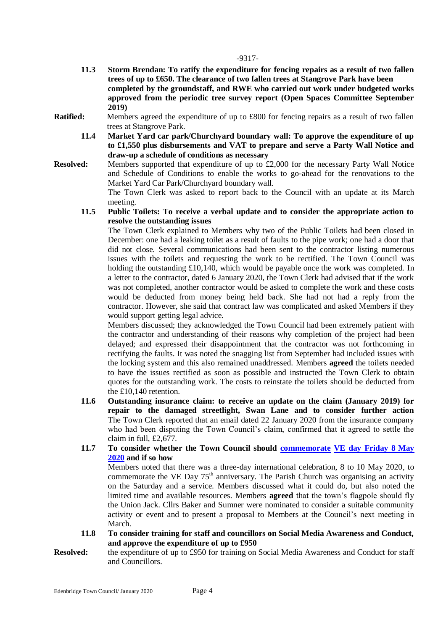- **11.3 Storm Brendan: To ratify the expenditure for fencing repairs as a result of two fallen trees of up to £650. The clearance of two fallen trees at Stangrove Park have been completed by the groundstaff, and RWE who carried out work under budgeted works approved from the periodic tree survey report (Open Spaces Committee September 2019)**
- **Ratified:** Members agreed the expenditure of up to £800 for fencing repairs as a result of two fallen trees at Stangrove Park.
	- **11.4 Market Yard car park/Churchyard boundary wall: To approve the expenditure of up to £1,550 plus disbursements and VAT to prepare and serve a Party Wall Notice and draw-up a schedule of conditions as necessary**
- **Resolved:** Members supported that expenditure of up to £2,000 for the necessary Party Wall Notice and Schedule of Conditions to enable the works to go-ahead for the renovations to the Market Yard Car Park/Churchyard boundary wall.

The Town Clerk was asked to report back to the Council with an update at its March meeting.

**11.5 Public Toilets: To receive a verbal update and to consider the appropriate action to resolve the outstanding issues**

The Town Clerk explained to Members why two of the Public Toilets had been closed in December: one had a leaking toilet as a result of faults to the pipe work; one had a door that did not close. Several communications had been sent to the contractor listing numerous issues with the toilets and requesting the work to be rectified. The Town Council was holding the outstanding £10,140, which would be payable once the work was completed. In a letter to the contractor, dated 6 January 2020, the Town Clerk had advised that if the work was not completed, another contractor would be asked to complete the work and these costs would be deducted from money being held back. She had not had a reply from the contractor. However, she said that contract law was complicated and asked Members if they would support getting legal advice.

Members discussed; they acknowledged the Town Council had been extremely patient with the contractor and understanding of their reasons why completion of the project had been delayed; and expressed their disappointment that the contractor was not forthcoming in rectifying the faults. It was noted the snagging list from September had included issues with the locking system and this also remained unaddressed. Members **agreed** the toilets needed to have the issues rectified as soon as possible and instructed the Town Clerk to obtain quotes for the outstanding work. The costs to reinstate the toilets should be deducted from the £10,140 retention.

- **11.6 Outstanding insurance claim: to receive an update on the claim (January 2019) for repair to the damaged streetlight, Swan Lane and to consider further action** The Town Clerk reported that an email dated 22 January 2020 from the insurance company who had been disputing the Town Council's claim, confirmed that it agreed to settle the claim in full, £2,677.
- **11.7 To consider whether the Town Council should [commemorate](https://www.veday75.org/) [VE day Friday 8](https://www.gov.uk/government/news/2020-may-bank-holiday-will-be-moved-to-mark-75th-anniversary-of-ve-day) May [2020](https://www.gov.uk/government/news/2020-may-bank-holiday-will-be-moved-to-mark-75th-anniversary-of-ve-day) and if so how**

Members noted that there was a three-day international celebration, 8 to 10 May 2020, to commemorate the VE Day  $75<sup>th</sup>$  anniversary. The Parish Church was organising an activity on the Saturday and a service. Members discussed what it could do, but also noted the limited time and available resources. Members **agreed** that the town's flagpole should fly the Union Jack. Cllrs Baker and Sumner were nominated to consider a suitable community activity or event and to present a proposal to Members at the Council's next meeting in March.

- **11.8 To consider training for staff and councillors on Social Media Awareness and Conduct, and approve the expenditure of up to £950**
- **Resolved:** the expenditure of up to £950 for training on Social Media Awareness and Conduct for staff and Councillors.